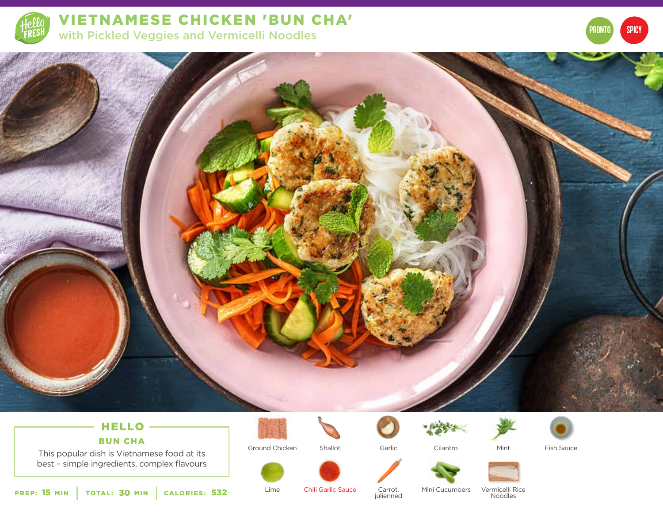

VIETNAMESE CHICKEN 'BUN CHA' with Pickled Veggies and Vermicelli Noodles





# HELLO

BUN CHA

This popular dish is Vietnamese food at its best – simple ingredients, complex flavours





Shallot Garlic Cilantro



Fish Sauce



Ground Chicken

Lime



Chili Garlic Sauce Mini Cucumbers Carrot, <sup>532</sup> julienned

Vermicelli Rice **Noodles** 

Mint

PREP: 15 MIN | TOTAL: 30 MIN | CALORIES: